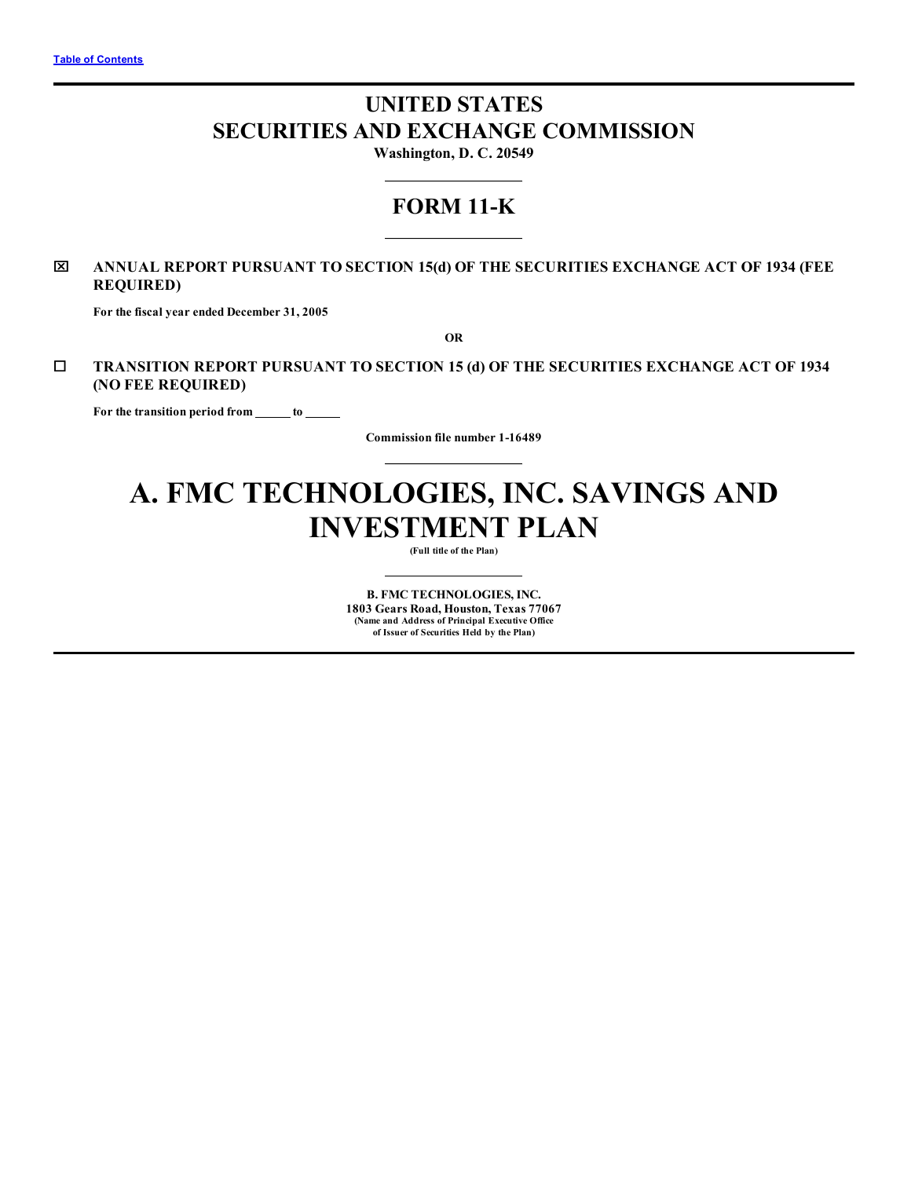# **UNITED STATES SECURITIES AND EXCHANGE COMMISSION**

**Washington, D. C. 20549**

## **FORM 11-K**

## x **ANNUAL REPORT PURSUANT TO SECTION 15(d) OF THE SECURITIES EXCHANGE ACT OF 1934 (FEE REQUIRED)**

**For the fiscal year ended December 31, 2005**

**OR**

¨ **TRANSITION REPORT PURSUANT TO SECTION 15 (d) OF THE SECURITIES EXCHANGE ACT OF 1934 (NO FEE REQUIRED)**

**For the transition period from to**

**Commission file number 1-16489**

# **A. FMC TECHNOLOGIES, INC. SAVINGS AND INVESTMENT PLAN**

**(Full title of the Plan)**

**B. FMC TECHNOLOGIES, INC. 1803 Gears Road, Houston, Texas 77067 (Name and Address of Principal Executive Office of Issuer of Securities Held by the Plan)**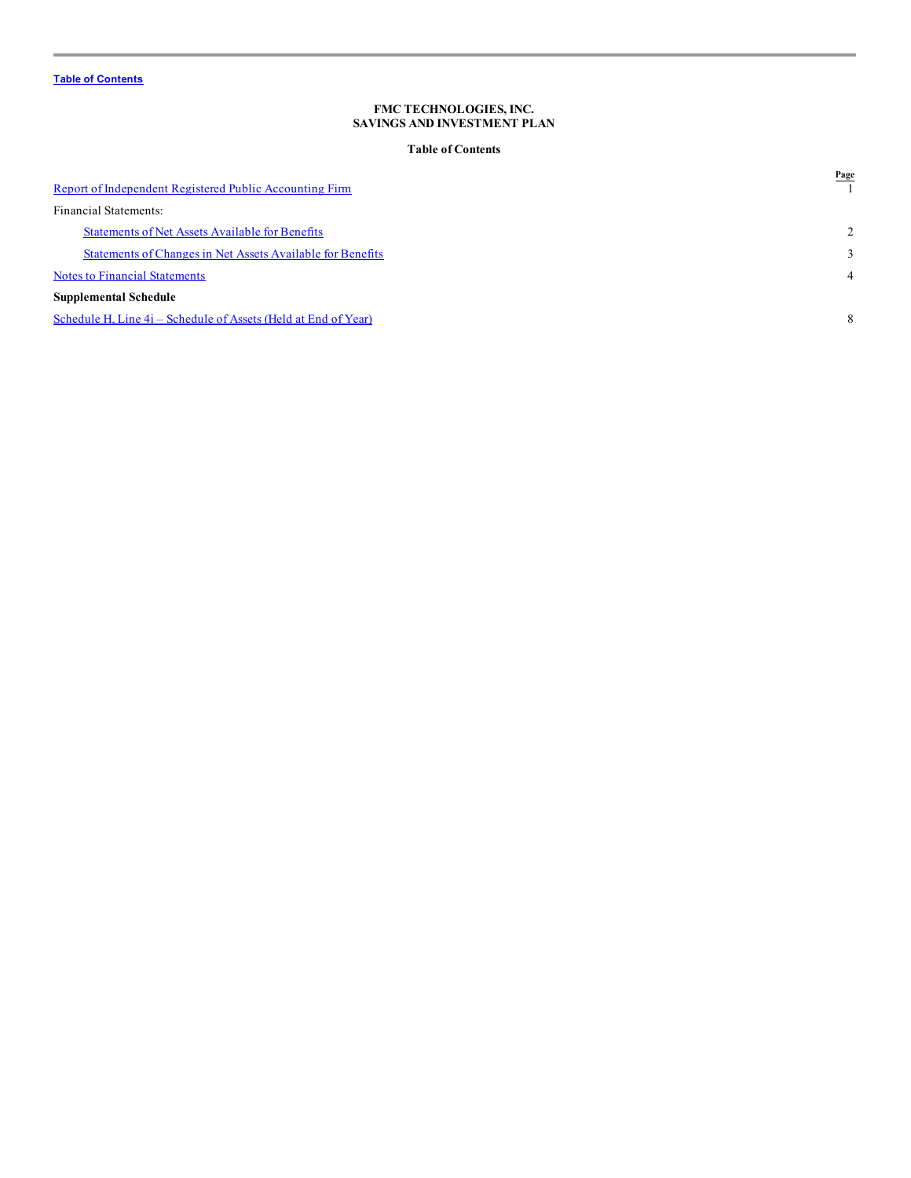## **Table of Contents**

<span id="page-1-0"></span>

| Report of Independent Registered Public Accounting Firm        | Page           |
|----------------------------------------------------------------|----------------|
| Financial Statements:                                          |                |
| <b>Statements of Net Assets Available for Benefits</b>         | 2              |
| Statements of Changes in Net Assets Available for Benefits     | 3              |
| <b>Notes to Financial Statements</b>                           | $\overline{4}$ |
| <b>Supplemental Schedule</b>                                   |                |
| Schedule H, Line 4i – Schedule of Assets (Held at End of Year) | 8              |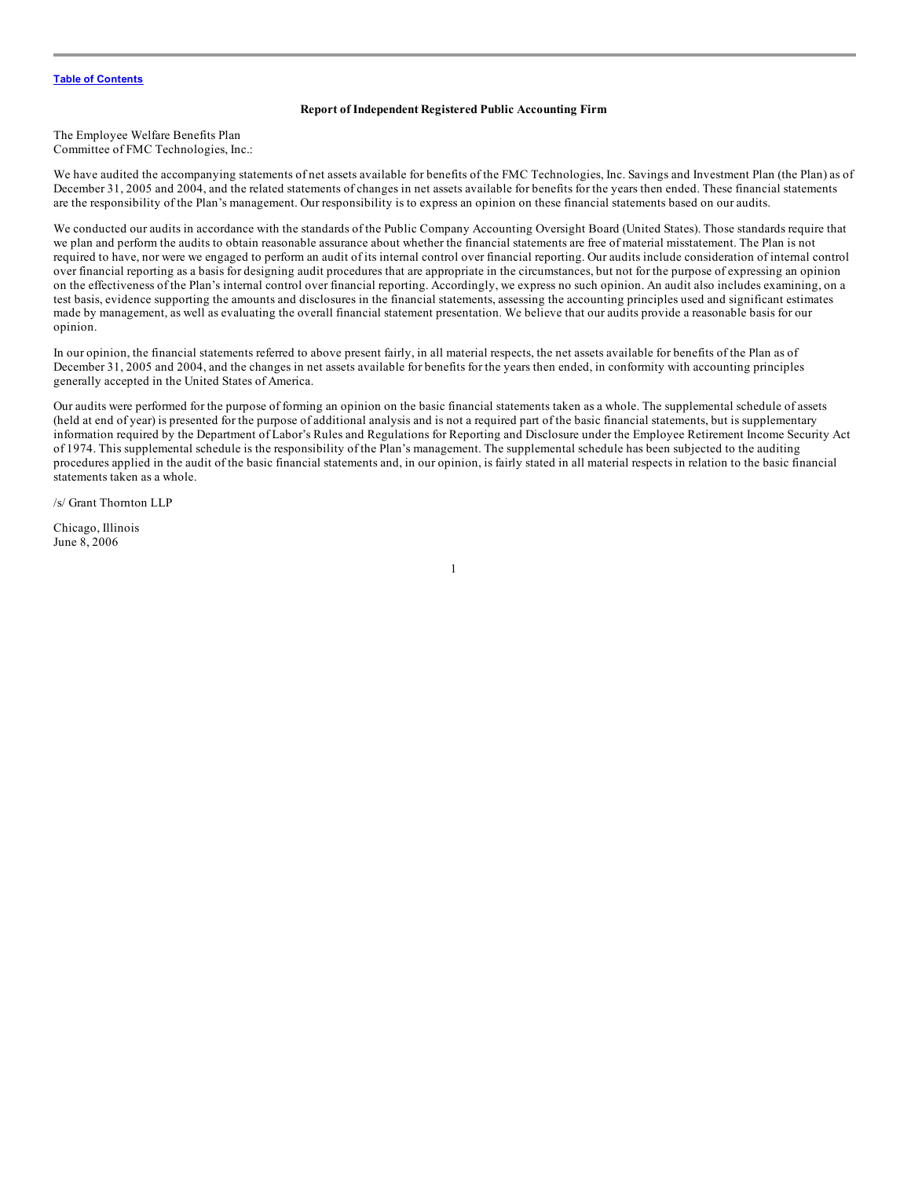#### **Report of Independent Registered Public Accounting Firm**

<span id="page-2-0"></span>The Employee Welfare Benefits Plan Committee of FMC Technologies, Inc.:

We have audited the accompanying statements of net assets available for benefits of the FMC Technologies, Inc. Savings and Investment Plan (the Plan) as of December 31, 2005 and 2004, and the related statements of changes in net assets available for benefits for the years then ended. These financial statements are the responsibility of the Plan's management. Our responsibility is to express an opinion on these financial statements based on our audits.

We conducted our audits in accordance with the standards of the Public Company Accounting Oversight Board (United States). Those standards require that we plan and perform the audits to obtain reasonable assurance about whether the financial statements are free of material misstatement. The Plan is not required to have, nor were we engaged to perform an audit of its internal control over financial reporting. Our audits include consideration of internal control over financial reporting as a basis for designing audit procedures that are appropriate in the circumstances, but not for the purpose of expressing an opinion on the effectiveness of the Plan's internal control over financial reporting. Accordingly, we express no such opinion. An audit also includes examining, on a test basis, evidence supporting the amounts and disclosures in the financial statements, assessing the accounting principles used and significant estimates made by management, as well as evaluating the overall financial statement presentation. We believe that our audits provide a reasonable basis for our opinion.

In our opinion, the financial statements referred to above present fairly, in all material respects, the net assets available for benefits of the Plan as of December 31, 2005 and 2004, and the changes in net assets available for benefits for the years then ended, in conformity with accounting principles generally accepted in the United States of America.

Our audits were performed for the purpose of forming an opinion on the basic financial statements taken as a whole. The supplemental schedule of assets (held at end of year) is presented for the purpose of additional analysis and is not a required part of the basic financial statements, but is supplementary information required by the Department of Labor's Rules and Regulations for Reporting and Disclosure under the Employee Retirement Income Security Act of 1974. This supplemental schedule is the responsibility of the Plan's management. The supplemental schedule has been subjected to the auditing procedures applied in the audit of the basic financial statements and, in our opinion, is fairly stated in all material respects in relation to the basic financial statements taken as a whole.

1

/s/ Grant Thornton LLP

Chicago, Illinois June 8, 2006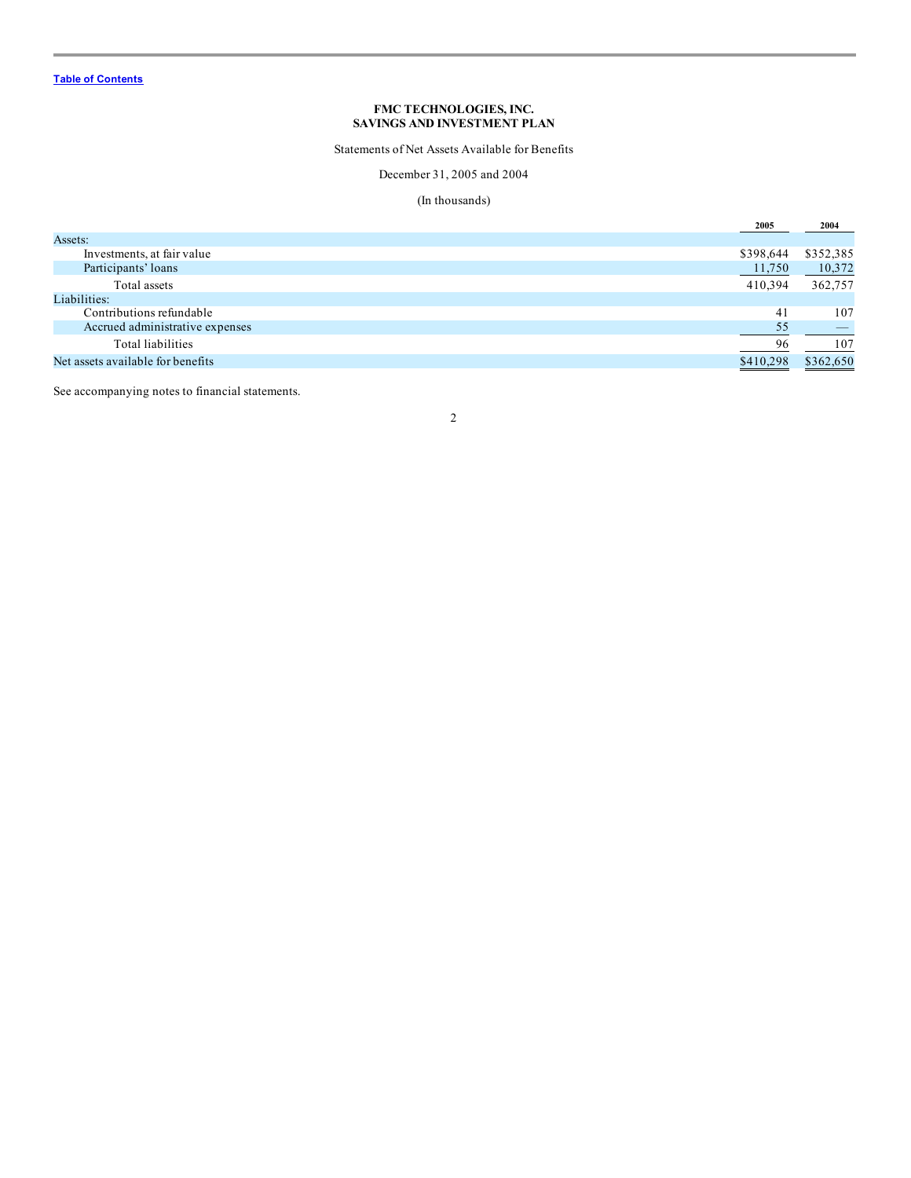Statements of Net Assets Available for Benefits

December 31, 2005 and 2004

## (In thousands)

<span id="page-3-0"></span>

|                                   | 2005      | 2004      |
|-----------------------------------|-----------|-----------|
| Assets:                           |           |           |
| Investments, at fair value        | \$398,644 | \$352,385 |
| Participants' loans               | 11,750    | 10,372    |
| Total assets                      | 410.394   | 362,757   |
| Liabilities:                      |           |           |
| Contributions refundable          | 41        | 107       |
| Accrued administrative expenses   | 55        |           |
| Total liabilities                 | 96        | 107       |
| Net assets available for benefits | \$410.298 | \$362,650 |

See accompanying notes to financial statements.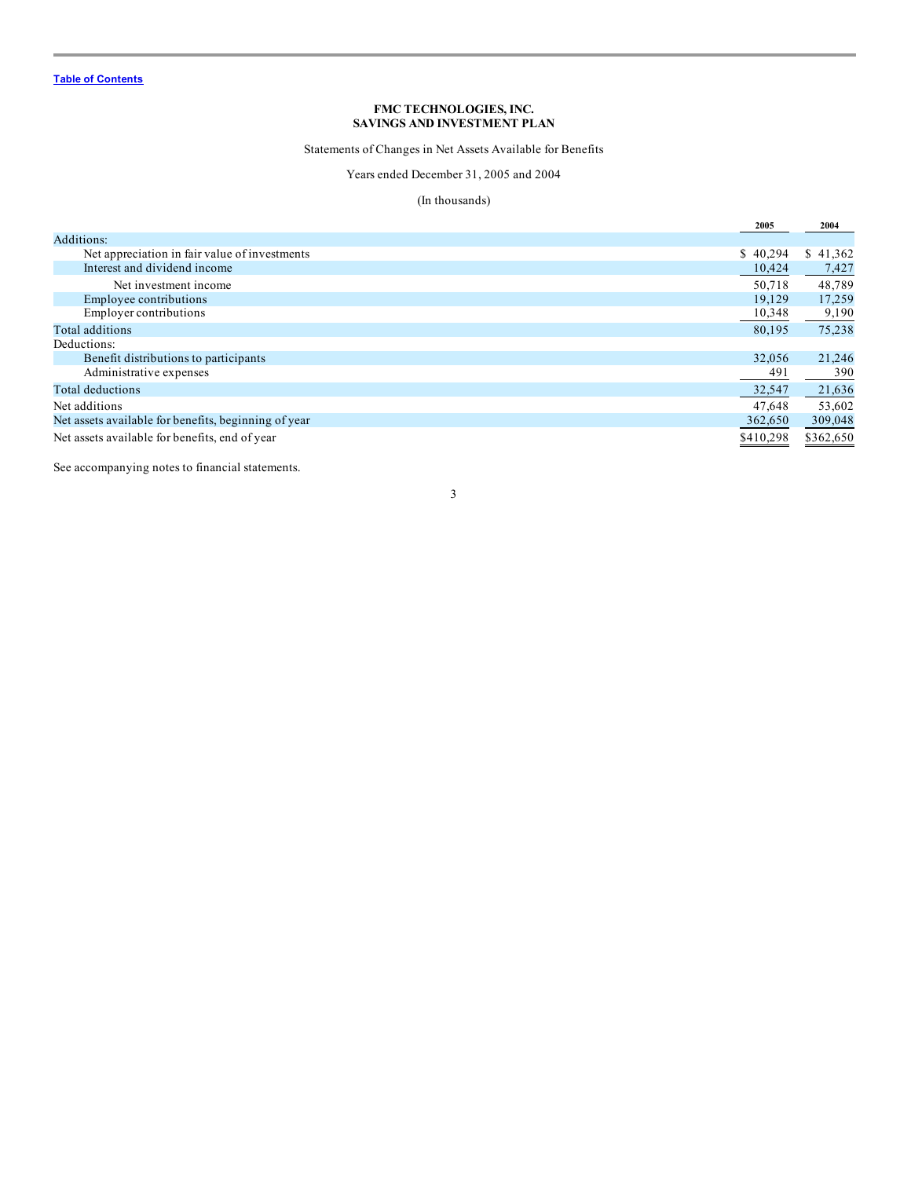Statements of Changes in Net Assets Available for Benefits

## Years ended December 31, 2005 and 2004

## (In thousands)

<span id="page-4-0"></span>

|                                                      | 2005      | 2004      |
|------------------------------------------------------|-----------|-----------|
| Additions:                                           |           |           |
| Net appreciation in fair value of investments        | \$40.294  | \$41,362  |
| Interest and dividend income                         | 10,424    | 7,427     |
| Net investment income                                | 50.718    | 48,789    |
| Employee contributions                               | 19,129    | 17,259    |
| <b>Employer contributions</b>                        | 10,348    | 9,190     |
| Total additions                                      | 80,195    | 75,238    |
| Deductions:                                          |           |           |
| Benefit distributions to participants                | 32,056    | 21,246    |
| Administrative expenses                              | 491       | 390       |
| Total deductions                                     | 32,547    | 21,636    |
| Net additions                                        | 47,648    | 53,602    |
| Net assets available for benefits, beginning of year |           | 309,048   |
| Net assets available for benefits, end of year       | \$410,298 | \$362,650 |

See accompanying notes to financial statements.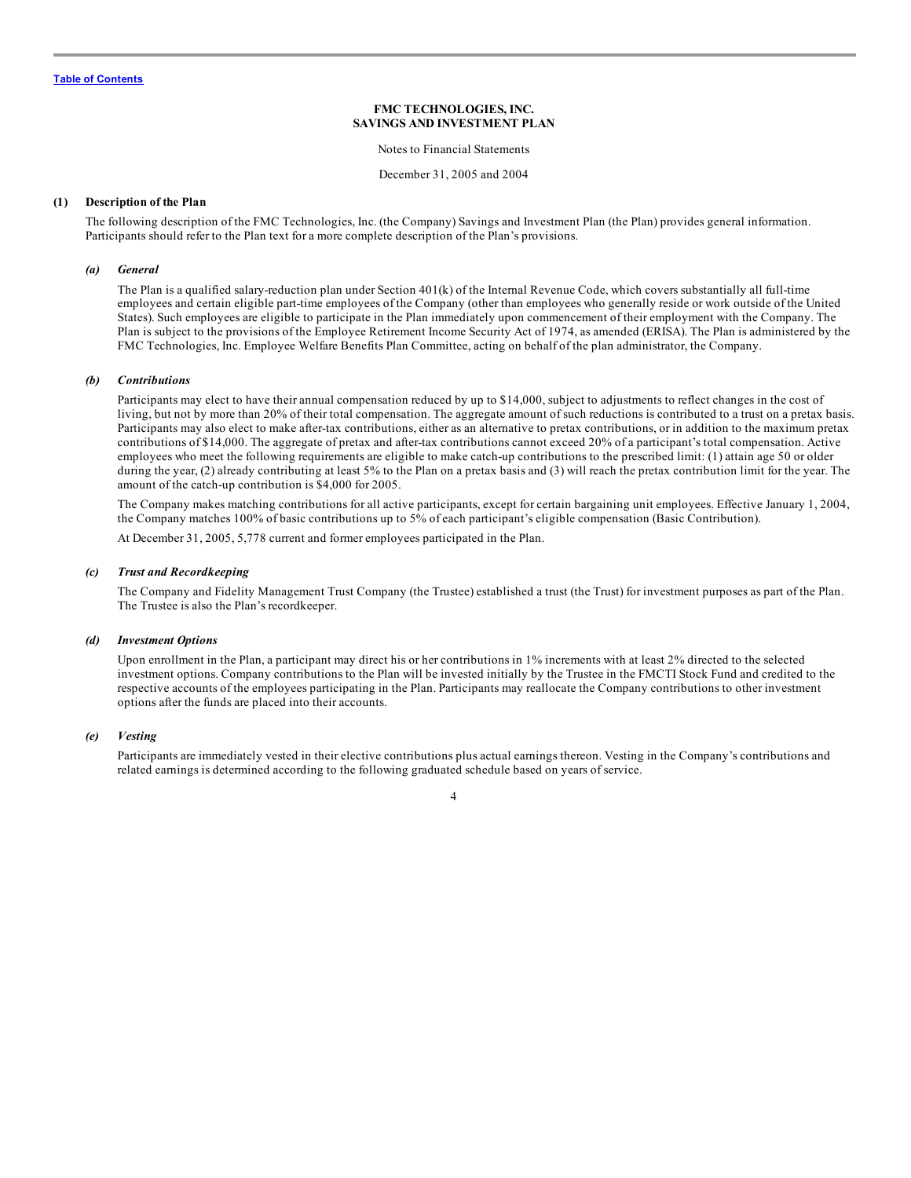Notes to Financial Statements

December 31, 2005 and 2004

#### <span id="page-5-0"></span>**(1) Description of the Plan**

The following description of the FMC Technologies, Inc. (the Company) Savings and Investment Plan (the Plan) provides general information. Participants should refer to the Plan text for a more complete description of the Plan's provisions.

#### *(a) General*

The Plan is a qualified salary-reduction plan under Section 401(k) of the Internal Revenue Code, which covers substantially all full-time employees and certain eligible part-time employees of the Company (other than employees who generally reside or work outside of the United States). Such employees are eligible to participate in the Plan immediately upon commencement of their employment with the Company. The Plan is subject to the provisions of the Employee Retirement Income Security Act of 1974, as amended (ERISA). The Plan is administered by the FMC Technologies, Inc. Employee Welfare Benefits Plan Committee, acting on behalf of the plan administrator, the Company.

#### *(b) Contributions*

Participants may elect to have their annual compensation reduced by up to \$14,000, subject to adjustments to reflect changes in the cost of living, but not by more than 20% of their total compensation. The aggregate amount of such reductions is contributed to a trust on a pretax basis. Participants may also elect to make after-tax contributions, either as an alternative to pretax contributions, or in addition to the maximum pretax contributions of \$14,000. The aggregate of pretax and after-tax contributions cannot exceed 20% of a participant's total compensation. Active employees who meet the following requirements are eligible to make catch-up contributions to the prescribed limit: (1) attain age 50 or older during the year, (2) already contributing at least 5% to the Plan on a pretax basis and (3) will reach the pretax contribution limit for the year. The amount of the catch-up contribution is \$4,000 for 2005.

The Company makes matching contributions for all active participants, except for certain bargaining unit employees. Effective January 1, 2004, the Company matches 100% of basic contributions up to 5% of each participant's eligible compensation (Basic Contribution).

At December 31, 2005, 5,778 current and former employees participated in the Plan.

#### *(c) Trust and Recordkeeping*

The Company and Fidelity Management Trust Company (the Trustee) established a trust (the Trust) for investment purposes as part of the Plan. The Trustee is also the Plan's recordkeeper.

## *(d) Investment Options*

Upon enrollment in the Plan, a participant may direct his or her contributions in 1% increments with at least 2% directed to the selected investment options. Company contributions to the Plan will be invested initially by the Trustee in the FMCTI Stock Fund and credited to the respective accounts of the employees participating in the Plan. Participants may reallocate the Company contributions to other investment options after the funds are placed into their accounts.

#### *(e) Vesting*

Participants are immediately vested in their elective contributions plus actual earnings thereon. Vesting in the Company's contributions and related earnings is determined according to the following graduated schedule based on years of service.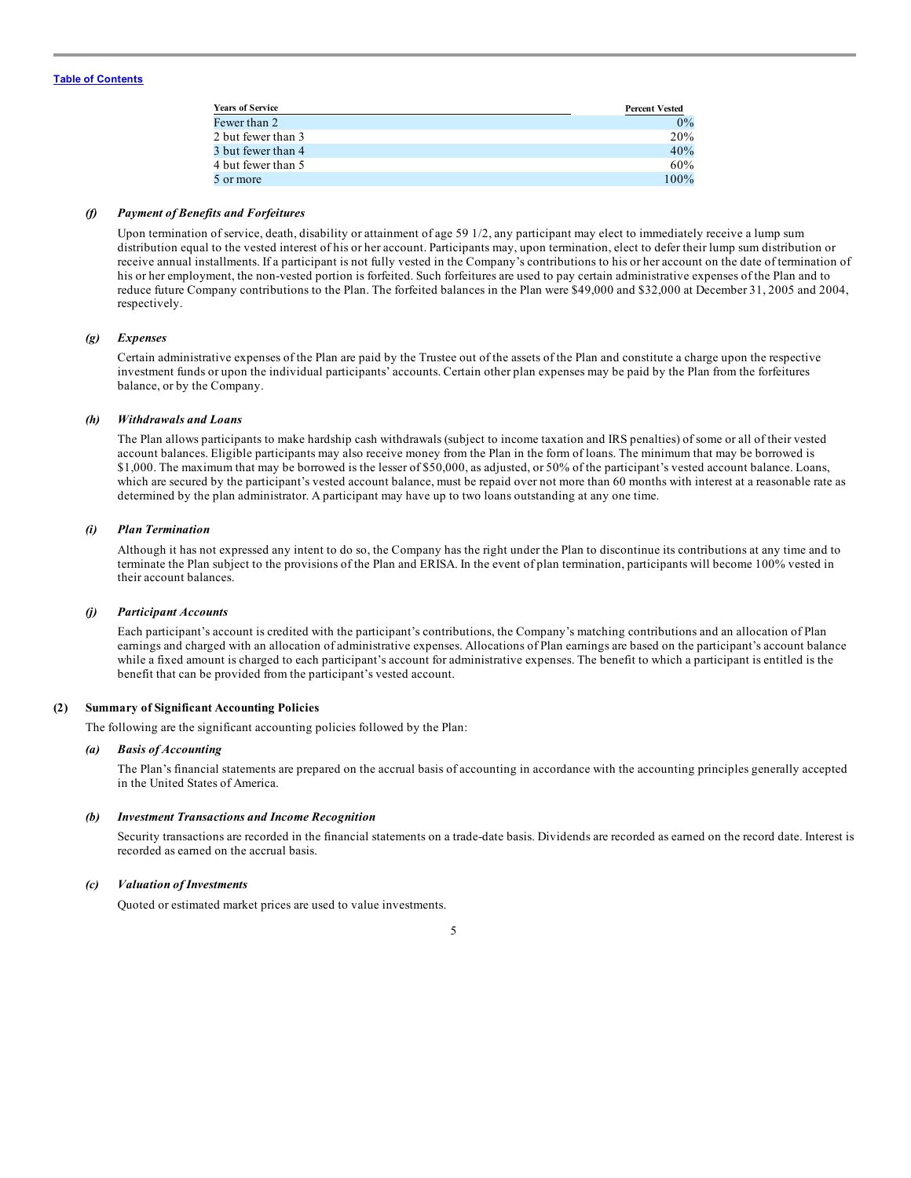| <b>Years of Service</b> | <b>Percent Vested</b> |
|-------------------------|-----------------------|
| Fewer than 2            | 0%                    |
| 2 but fewer than 3      | 20%                   |
| 3 but fewer than 4      | 40%                   |
| 4 but fewer than 5      | 60%                   |
| 5 or more               | 100%                  |

#### *(f) Payment of Benefits and Forfeitures*

Upon termination of service, death, disability or attainment of age 59 1/2, any participant may elect to immediately receive a lump sum distribution equal to the vested interest of his or her account. Participants may, upon termination, elect to defer their lump sum distribution or receive annual installments. If a participant is not fully vested in the Company's contributions to his or her account on the date of termination of his or her employment, the non-vested portion is forfeited. Such forfeitures are used to pay certain administrative expenses of the Plan and to reduce future Company contributions to the Plan. The forfeited balances in the Plan were \$49,000 and \$32,000 at December 31, 2005 and 2004, respectively.

#### *(g) Expenses*

Certain administrative expenses of the Plan are paid by the Trustee out of the assets of the Plan and constitute a charge upon the respective investment funds or upon the individual participants' accounts. Certain other plan expenses may be paid by the Plan from the forfeitures balance, or by the Company.

#### *(h) Withdrawals and Loans*

The Plan allows participants to make hardship cash withdrawals (subject to income taxation and IRS penalties) of some or all of their vested account balances. Eligible participants may also receive money from the Plan in the form of loans. The minimum that may be borrowed is \$1,000. The maximum that may be borrowed is the lesser of \$50,000, as adjusted, or 50% of the participant's vested account balance. Loans, which are secured by the participant's vested account balance, must be repaid over not more than 60 months with interest at a reasonable rate as determined by the plan administrator. A participant may have up to two loans outstanding at any one time.

#### *(i) Plan Termination*

Although it has not expressed any intent to do so, the Company has the right under the Plan to discontinue its contributions at any time and to terminate the Plan subject to the provisions of the Plan and ERISA. In the event of plan termination, participants will become 100% vested in their account balances.

#### *(j) Participant Accounts*

Each participant's account is credited with the participant's contributions, the Company's matching contributions and an allocation of Plan earnings and charged with an allocation of administrative expenses. Allocations of Plan earnings are based on the participant's account balance while a fixed amount is charged to each participant's account for administrative expenses. The benefit to which a participant is entitled is the benefit that can be provided from the participant's vested account.

## **(2) Summary of Significant Accounting Policies**

The following are the significant accounting policies followed by the Plan:

#### *(a) Basis of Accounting*

The Plan's financial statements are prepared on the accrual basis of accounting in accordance with the accounting principles generally accepted in the United States of America.

#### *(b) Investment Transactions and Income Recognition*

Security transactions are recorded in the financial statements on a trade-date basis. Dividends are recorded as earned on the record date. Interest is recorded as earned on the accrual basis.

#### *(c) Valuation of Investments*

Quoted or estimated market prices are used to value investments.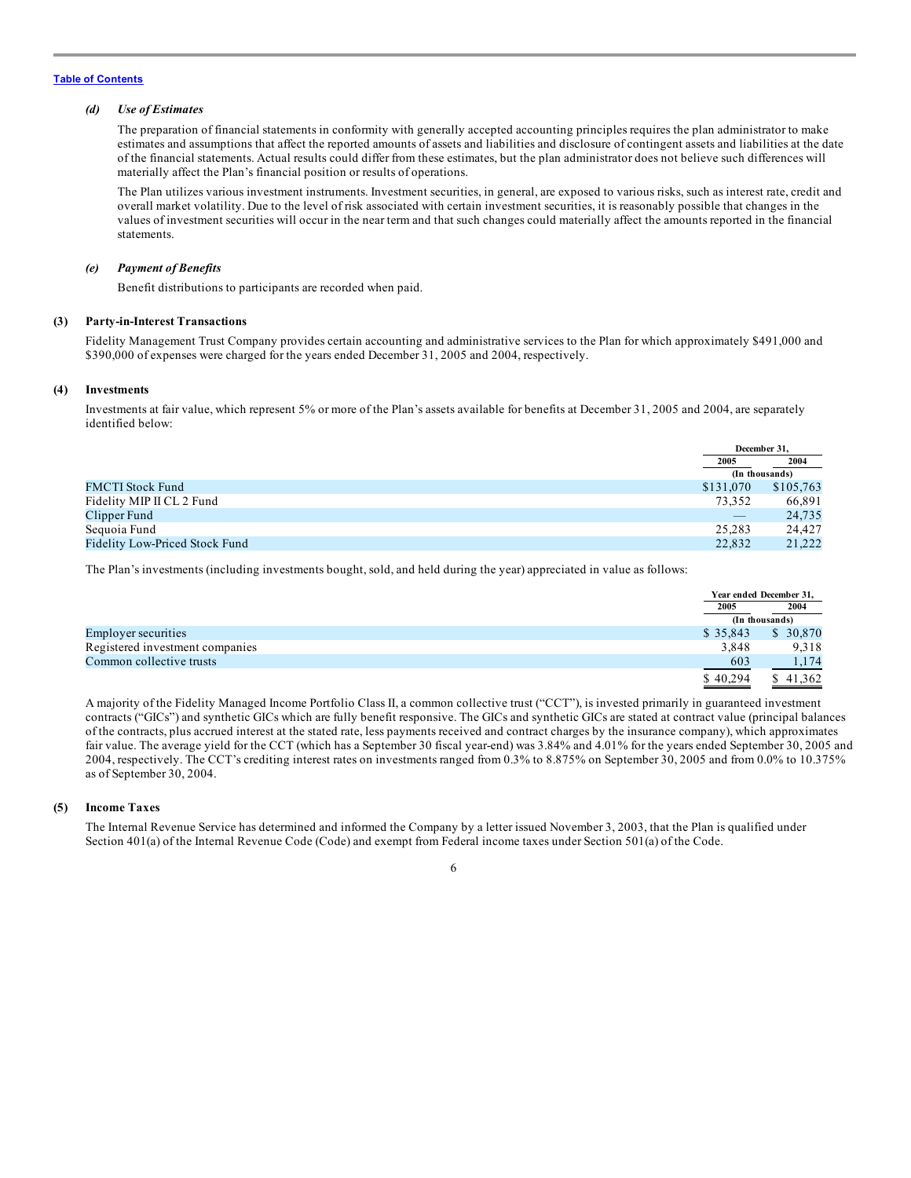## *(d) Use of Estimates*

The preparation of financial statements in conformity with generally accepted accounting principles requires the plan administrator to make estimates and assumptions that affect the reported amounts of assets and liabilities and disclosure of contingent assets and liabilities at the date of the financial statements. Actual results could differ from these estimates, but the plan administrator does not believe such differences will materially affect the Plan's financial position or results of operations.

The Plan utilizes various investment instruments. Investment securities, in general, are exposed to various risks, such as interest rate, credit and overall market volatility. Due to the level of risk associated with certain investment securities, it is reasonably possible that changes in the values of investment securities will occur in the near term and that such changes could materially affect the amounts reported in the financial statements.

#### *(e) Payment of Benefits*

Benefit distributions to participants are recorded when paid.

#### **(3) Party-in-Interest Transactions**

Fidelity Management Trust Company provides certain accounting and administrative services to the Plan for which approximately \$491,000 and \$390,000 of expenses were charged for the years ended December 31, 2005 and 2004, respectively.

#### **(4) Investments**

Investments at fair value, which represent 5% or more of the Plan's assets available for benefits at December 31, 2005 and 2004, are separately identified below:

|                                |           | December 31.   |  |
|--------------------------------|-----------|----------------|--|
|                                | 2005      | 2004           |  |
|                                |           | (In thousands) |  |
| <b>FMCTI</b> Stock Fund        | \$131,070 | \$105,763      |  |
| Fidelity MIP II CL 2 Fund      | 73.352    | 66,891         |  |
| Clipper Fund                   |           | 24,735         |  |
| Sequoia Fund                   | 25,283    | 24,427         |  |
| Fidelity Low-Priced Stock Fund | 22,832    | 21,222         |  |

The Plan's investments (including investments bought, sold, and held during the year) appreciated in value as follows:

|                                 |          | Year ended December 31. |  |
|---------------------------------|----------|-------------------------|--|
|                                 | 2005     | 2004                    |  |
|                                 |          | (In thousands)          |  |
| <b>Employer securities</b>      | \$35,843 | \$30,870                |  |
| Registered investment companies | 3.848    | 9,318                   |  |
| Common collective trusts        | 603      | 1,174                   |  |
|                                 | \$40,294 | \$41,362                |  |

A majority of the Fidelity Managed Income Portfolio Class II, a common collective trust ("CCT"), is invested primarily in guaranteed investment contracts ("GICs") and synthetic GICs which are fully benefit responsive. The GICs and synthetic GICs are stated at contract value (principal balances of the contracts, plus accrued interest at the stated rate, less payments received and contract charges by the insurance company), which approximates fair value. The average yield for the CCT (which has a September 30 fiscal year-end) was 3.84% and 4.01% for the years ended September 30, 2005 and 2004, respectively. The CCT's crediting interest rates on investments ranged from 0.3% to 8.875% on September 30, 2005 and from 0.0% to 10.375% as of September 30, 2004.

## **(5) Income Taxes**

The Internal Revenue Service has determined and informed the Company by a letter issued November 3, 2003, that the Plan is qualified under Section 401(a) of the Internal Revenue Code (Code) and exempt from Federal income taxes under Section 501(a) of the Code.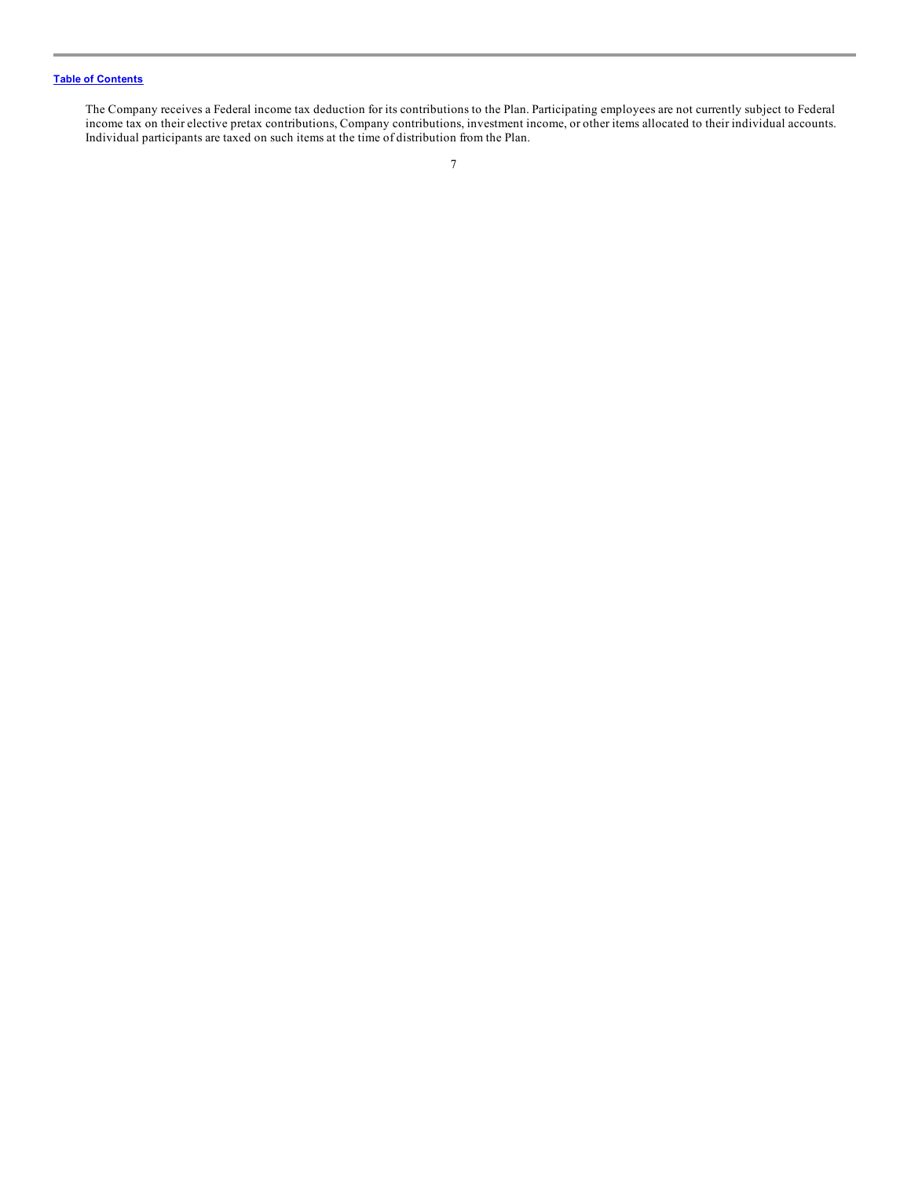The Company receives a Federal income tax deduction for its contributions to the Plan. Participating employees are not currently subject to Federal income tax on their elective pretax contributions, Company contributions, investment income, or other items allocated to their individual accounts. Individual participants are taxed on such items at the time of distribution from the Plan.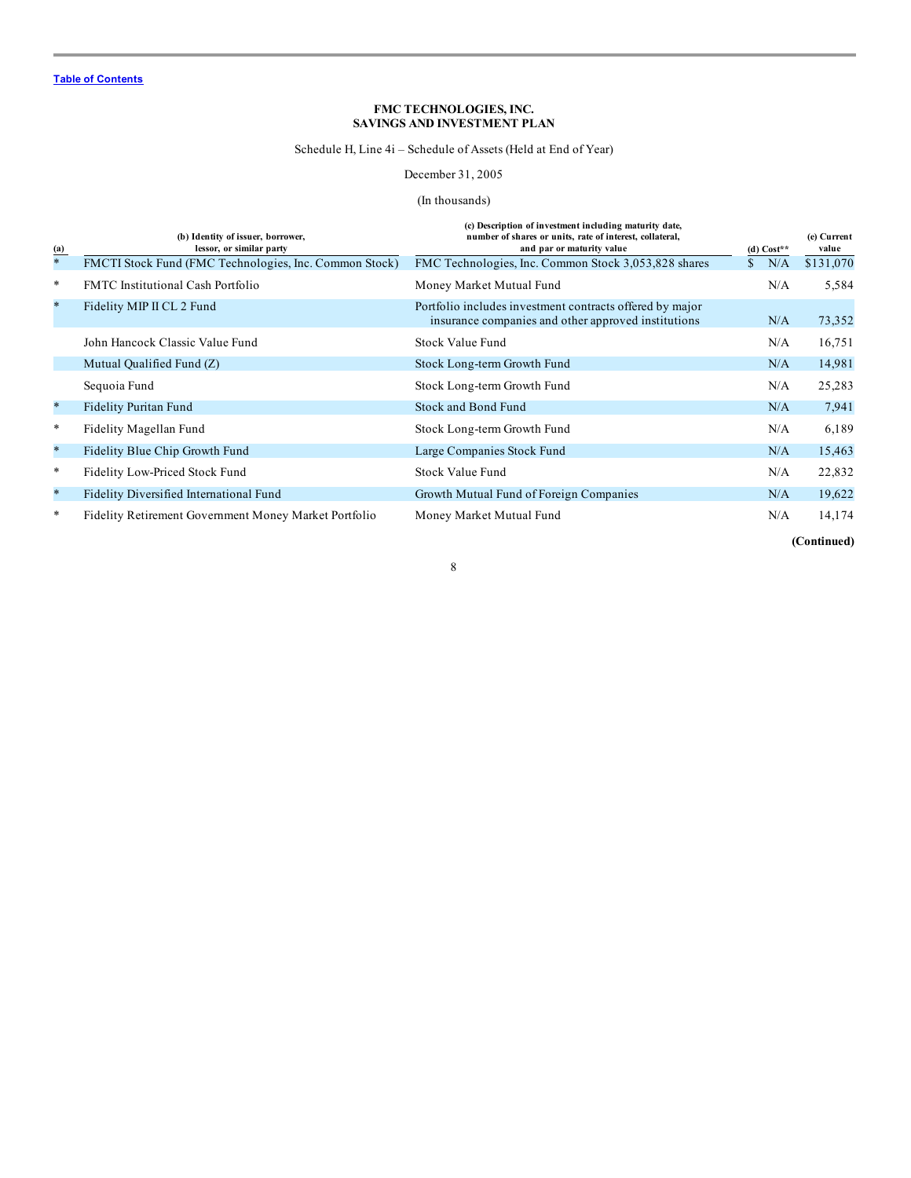Schedule H, Line 4i – Schedule of Assets (Held at End of Year)

December 31, 2005

## (In thousands)

<span id="page-9-0"></span>

| (a)     | (b) Identity of issuer, borrower,<br>lessor, or similar party | (c) Description of investment including maturity date,<br>number of shares or units, rate of interest, collateral,<br>and par or maturity value | (d) $Cost**$ | (e) Current<br>value |
|---------|---------------------------------------------------------------|-------------------------------------------------------------------------------------------------------------------------------------------------|--------------|----------------------|
| $\ast$  | FMCTI Stock Fund (FMC Technologies, Inc. Common Stock)        | FMC Technologies, Inc. Common Stock 3,053,828 shares                                                                                            | N/A          | \$131,070            |
| $\ast$  | <b>FMTC</b> Institutional Cash Portfolio                      | Money Market Mutual Fund                                                                                                                        | N/A          | 5,584                |
| $\ast$  | Fidelity MIP II CL 2 Fund                                     | Portfolio includes investment contracts offered by major<br>insurance companies and other approved institutions                                 | N/A          | 73,352               |
|         | John Hancock Classic Value Fund                               | Stock Value Fund                                                                                                                                | N/A          | 16,751               |
|         | Mutual Qualified Fund (Z)                                     | Stock Long-term Growth Fund                                                                                                                     | N/A          | 14,981               |
|         | Sequoia Fund                                                  | Stock Long-term Growth Fund                                                                                                                     | N/A          | 25,283               |
| $\star$ | <b>Fidelity Puritan Fund</b>                                  | Stock and Bond Fund                                                                                                                             | N/A          | 7,941                |
| $\ast$  | Fidelity Magellan Fund                                        | Stock Long-term Growth Fund                                                                                                                     | N/A          | 6,189                |
| $\ast$  | Fidelity Blue Chip Growth Fund                                | Large Companies Stock Fund                                                                                                                      | N/A          | 15,463               |
| $\ast$  | Fidelity Low-Priced Stock Fund                                | Stock Value Fund                                                                                                                                | N/A          | 22,832               |
| $\ast$  | Fidelity Diversified International Fund                       | Growth Mutual Fund of Foreign Companies                                                                                                         | N/A          | 19,622               |
| $\ast$  | Fidelity Retirement Government Money Market Portfolio         | Money Market Mutual Fund                                                                                                                        | N/A          | 14,174               |
|         |                                                               |                                                                                                                                                 |              | (Continued)          |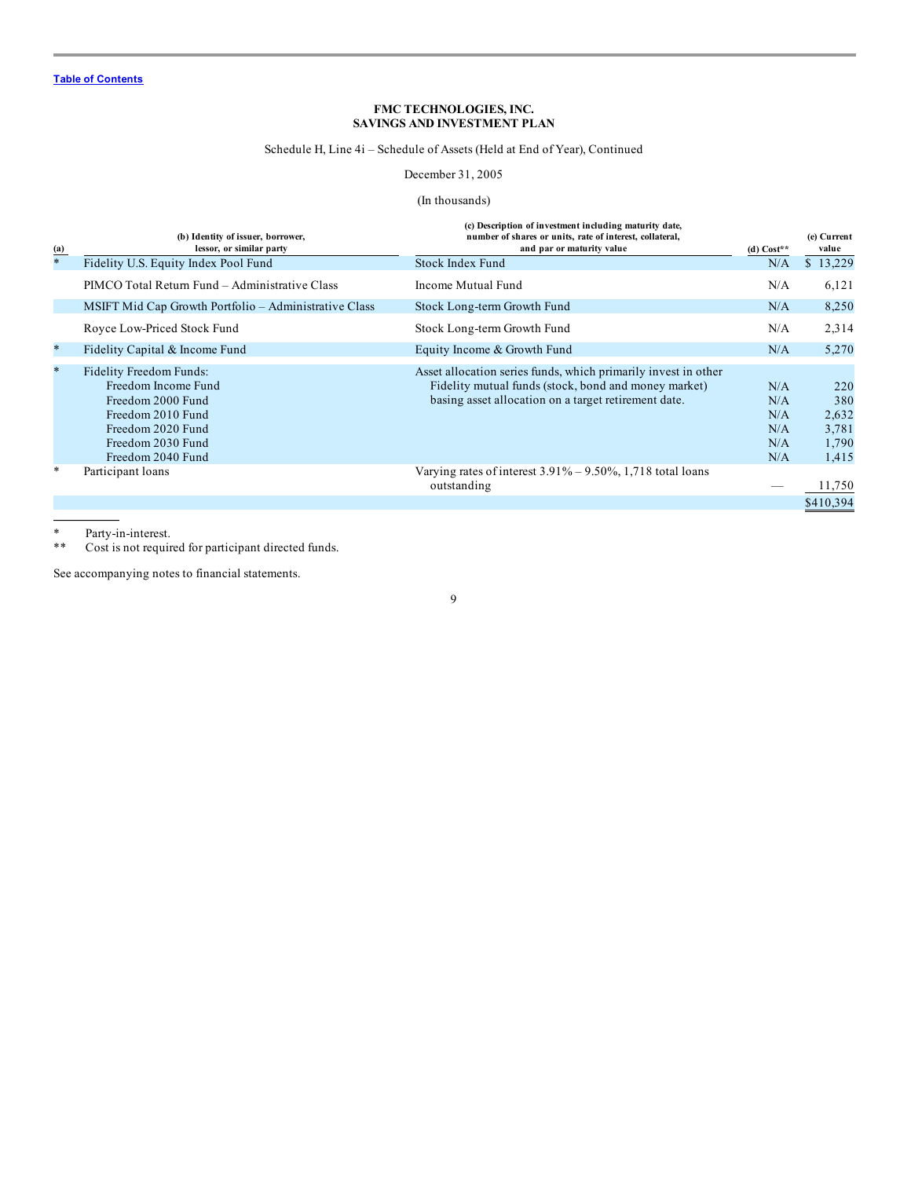Schedule H, Line 4i – Schedule of Assets (Held at End of Year), Continued

December 31, 2005

## (In thousands)

| $\overline{a}$ | (b) Identity of issuer, borrower,<br>lessor, or similar party                                                                                           | (c) Description of investment including maturity date,<br>number of shares or units, rate of interest, collateral,<br>and par or maturity value                                | (d) $Cost**$                           | (e) Current<br>value                           |
|----------------|---------------------------------------------------------------------------------------------------------------------------------------------------------|--------------------------------------------------------------------------------------------------------------------------------------------------------------------------------|----------------------------------------|------------------------------------------------|
| $\ast$         | Fidelity U.S. Equity Index Pool Fund                                                                                                                    | Stock Index Fund                                                                                                                                                               | N/A                                    | \$13,229                                       |
|                | PIMCO Total Return Fund – Administrative Class                                                                                                          | Income Mutual Fund                                                                                                                                                             | N/A                                    | 6,121                                          |
|                | MSIFT Mid Cap Growth Portfolio - Administrative Class                                                                                                   | Stock Long-term Growth Fund                                                                                                                                                    | N/A                                    | 8,250                                          |
|                | Royce Low-Priced Stock Fund                                                                                                                             | Stock Long-term Growth Fund                                                                                                                                                    | N/A                                    | 2,314                                          |
| $\star$        | Fidelity Capital & Income Fund                                                                                                                          | Equity Income & Growth Fund                                                                                                                                                    | N/A                                    | 5,270                                          |
| $\star$        | Fidelity Freedom Funds:<br>Freedom Income Fund<br>Freedom 2000 Fund<br>Freedom 2010 Fund<br>Freedom 2020 Fund<br>Freedom 2030 Fund<br>Freedom 2040 Fund | Asset allocation series funds, which primarily invest in other<br>Fidelity mutual funds (stock, bond and money market)<br>basing asset allocation on a target retirement date. | N/A<br>N/A<br>N/A<br>N/A<br>N/A<br>N/A | 220<br>380<br>2,632<br>3,781<br>1,790<br>1,415 |
| ∗              | Participant loans                                                                                                                                       | Varying rates of interest $3.91\% - 9.50\%$ , 1,718 total loans<br>outstanding                                                                                                 |                                        | 11,750                                         |
|                |                                                                                                                                                         |                                                                                                                                                                                |                                        | \$410,394                                      |

\* Party-in-interest.<br>\*\* Cost is not require

Cost is not required for participant directed funds.

See accompanying notes to financial statements.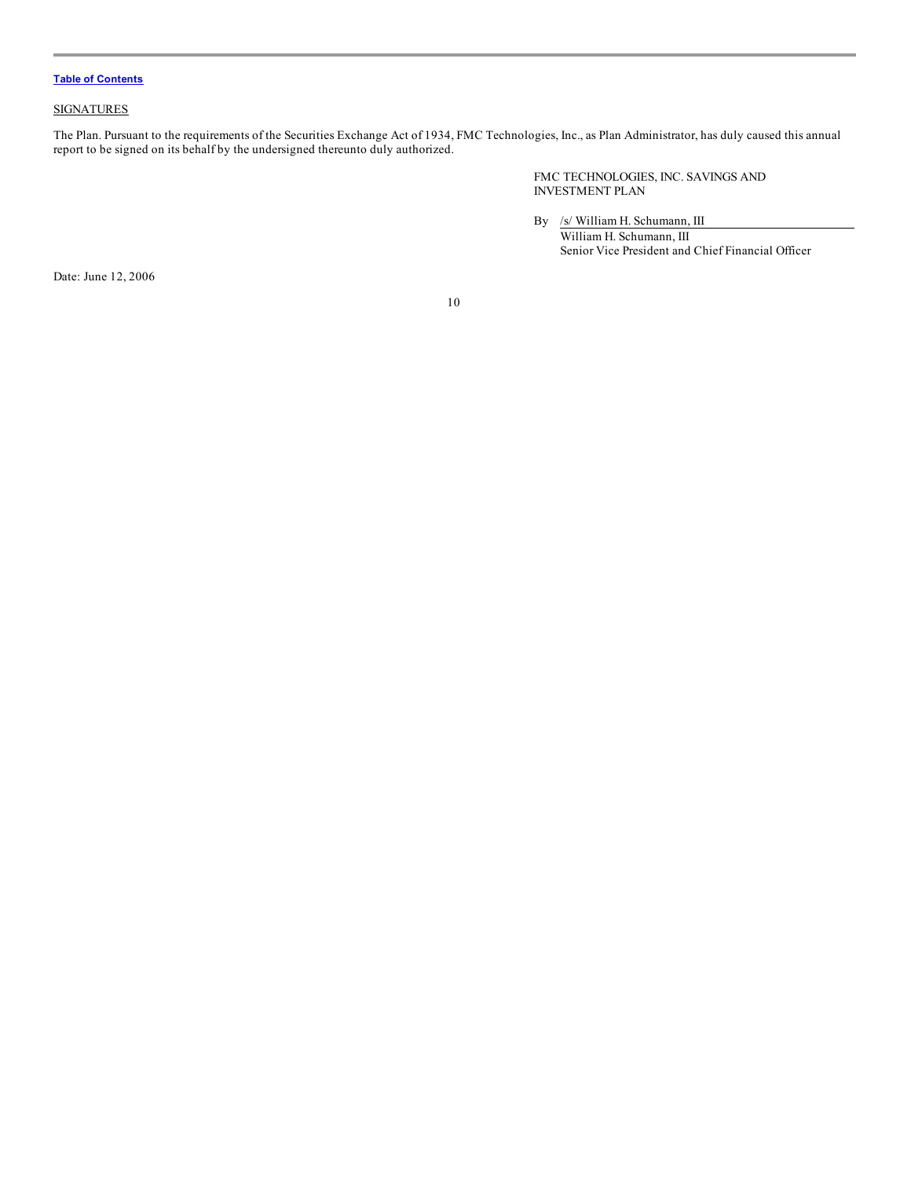## **SIGNATURES**

The Plan. Pursuant to the requirements of the Securities Exchange Act of 1934, FMC Technologies, Inc., as Plan Administrator, has duly caused this annual report to be signed on its behalf by the undersigned thereunto duly authorized.

> FMC TECHNOLOGIES, INC. SAVINGS AND INVESTMENT PLAN

By /s/ William H. Schumann, III William H. Schumann, III Senior Vice President and Chief Financial Officer

Date: June 12, 2006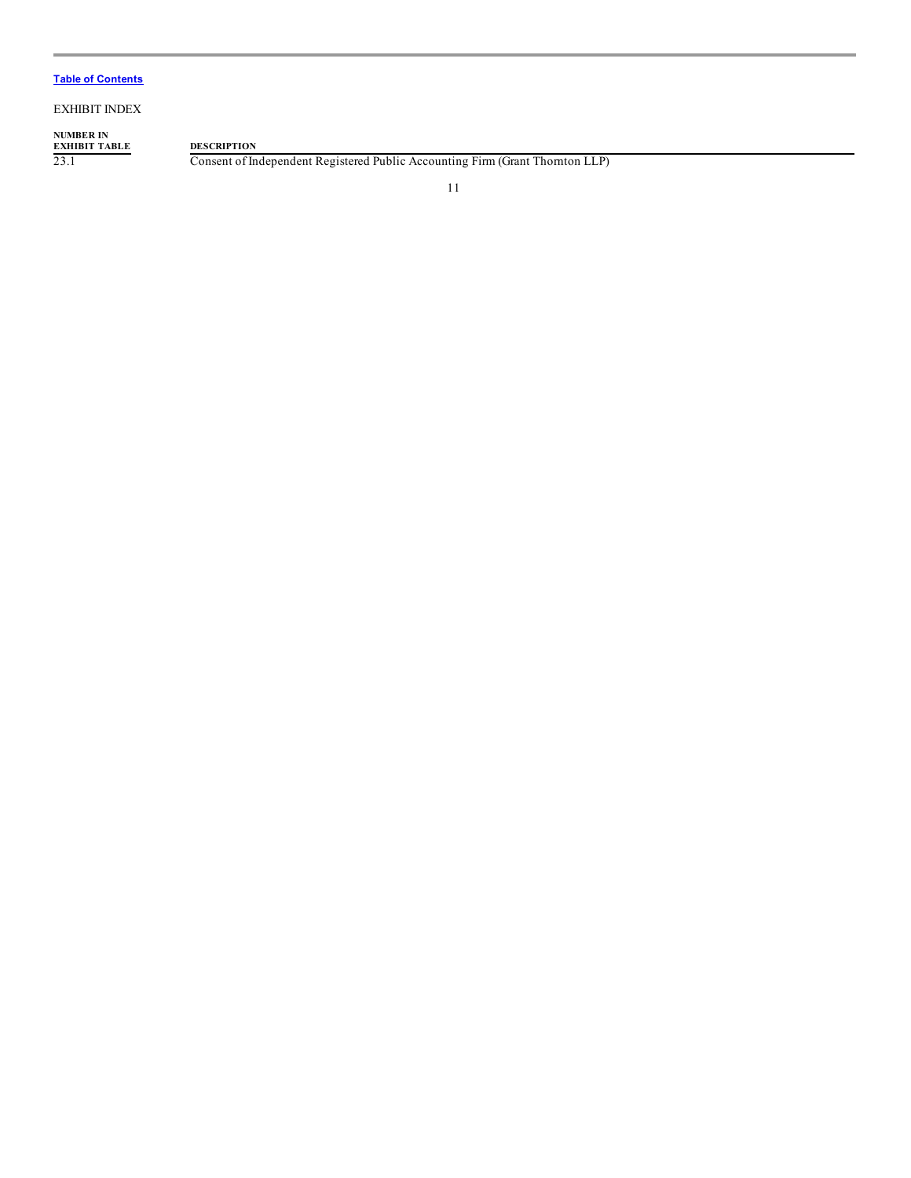EXHIBIT INDEX

# **NUMBER IN EXHIBIT TABLE DESCRIPTION**

23.1 Consent of Independent Registered Public Accounting Firm (Grant Thornton LLP)